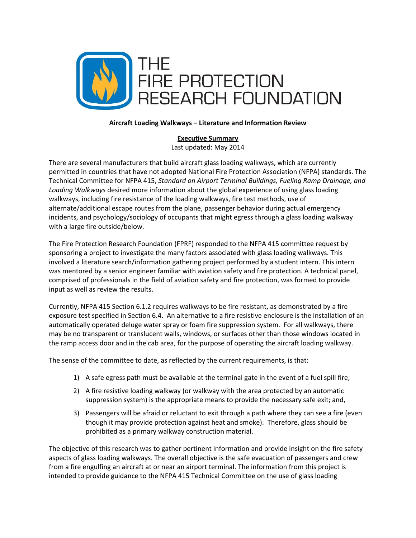

## **Executive Summary**

Last updated: May 2014

There are several manufacturers that build aircraft glass loading walkways, which are currently permitted in countries that have not adopted National Fire Protection Association (NFPA) standards. The Technical Committee for NFPA 415, *Standard on Airport Terminal Buildings, Fueling Ramp Drainage, and Loading Walkways* desired more information about the global experience of using glass loading walkways, including fire resistance of the loading walkways, fire test methods, use of alternate/additional escape routes from the plane, passenger behavior during actual emergency incidents, and psychology/sociology of occupants that might egress through a glass loading walkway with a large fire outside/below.

The Fire Protection Research Foundation (FPRF) responded to the NFPA 415 committee request by sponsoring a project to investigate the many factors associated with glass loading walkways. This involved a literature search/information gathering project performed by a student intern. This intern was mentored by a senior engineer familiar with aviation safety and fire protection. A technical panel, comprised of professionals in the field of aviation safety and fire protection, was formed to provide input as well as review the results.

Currently, NFPA 415 Section 6.1.2 requires walkways to be fire resistant, as demonstrated by a fire exposure test specified in Section 6.4. An alternative to a fire resistive enclosure is the installation of an automatically operated deluge water spray or foam fire suppression system. For all walkways, there may be no transparent or translucent walls, windows, or surfaces other than those windows located in the ramp access door and in the cab area, for the purpose of operating the aircraft loading walkway.

The sense of the committee to date, as reflected by the current requirements, is that:

- 1) A safe egress path must be available at the terminal gate in the event of a fuel spill fire;
- 2) A fire resistive loading walkway (or walkway with the area protected by an automatic suppression system) is the appropriate means to provide the necessary safe exit; and,
- 3) Passengers will be afraid or reluctant to exit through a path where they can see a fire (even though it may provide protection against heat and smoke). Therefore, glass should be prohibited as a primary walkway construction material.

The objective of this research was to gather pertinent information and provide insight on the fire safety aspects of glass loading walkways. The overall objective is the safe evacuation of passengers and crew from a fire engulfing an aircraft at or near an airport terminal. The information from this project is intended to provide guidance to the NFPA 415 Technical Committee on the use of glass loading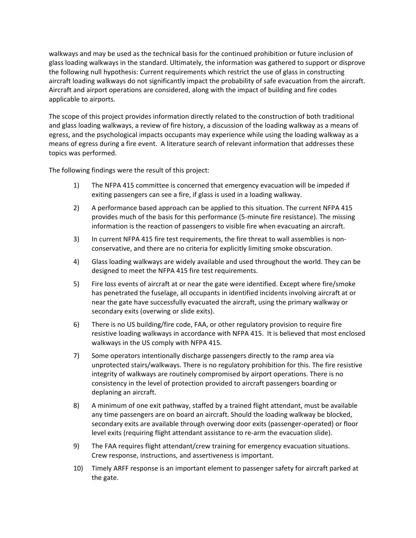walkways and may be used as the technical basis for the continued prohibition or future inclusion of glass loading walkways in the standard. Ultimately, the information was gathered to support or disprove the following null hypothesis: Current requirements which restrict the use of glass in constructing aircraft loading walkways do not significantly impact the probability of safe evacuation from the aircraft. Aircraft and airport operations are considered, along with the impact of building and fire codes applicable to airports.

The scope of this project provides information directly related to the construction of both traditional and glass loading walkways, a review of fire history, a discussion of the loading walkway as a means of egress, and the psychological impacts occupants may experience while using the loading walkway as a means of egress during a fire event. A literature search of relevant information that addresses these topics was performed.

The following findings were the result of this project:

- 1) The NFPA 415 committee is concerned that emergency evacuation will be impeded if exiting passengers can see a fire, if glass is used in a loading walkway.
- 2) A performance based approach can be applied to this situation. The current NFPA 415 provides much of the basis for this performance (5‐minute fire resistance). The missing information is the reaction of passengers to visible fire when evacuating an aircraft.
- 3) In current NFPA 415 fire test requirements, the fire threat to wall assemblies is nonconservative, and there are no criteria for explicitly limiting smoke obscuration.
- 4) Glass loading walkways are widely available and used throughout the world. They can be designed to meet the NFPA 415 fire test requirements.
- 5) Fire loss events of aircraft at or near the gate were identified. Except where fire/smoke has penetrated the fuselage, all occupants in identified incidents involving aircraft at or near the gate have successfully evacuated the aircraft, using the primary walkway or secondary exits (overwing or slide exits).
- 6) There is no US building/fire code, FAA, or other regulatory provision to require fire resistive loading walkways in accordance with NFPA 415. It is believed that most enclosed walkways in the US comply with NFPA 415.
- 7) Some operators intentionally discharge passengers directly to the ramp area via unprotected stairs/walkways. There is no regulatory prohibition for this. The fire resistive integrity of walkways are routinely compromised by airport operations. There is no consistency in the level of protection provided to aircraft passengers boarding or deplaning an aircraft.
- 8) A minimum of one exit pathway, staffed by a trained flight attendant, must be available any time passengers are on board an aircraft. Should the loading walkway be blocked, secondary exits are available through overwing door exits (passenger‐operated) or floor level exits (requiring flight attendant assistance to re‐arm the evacuation slide).
- 9) The FAA requires flight attendant/crew training for emergency evacuation situations. Crew response, instructions, and assertiveness is important.
- 10) Timely ARFF response is an important element to passenger safety for aircraft parked at the gate.